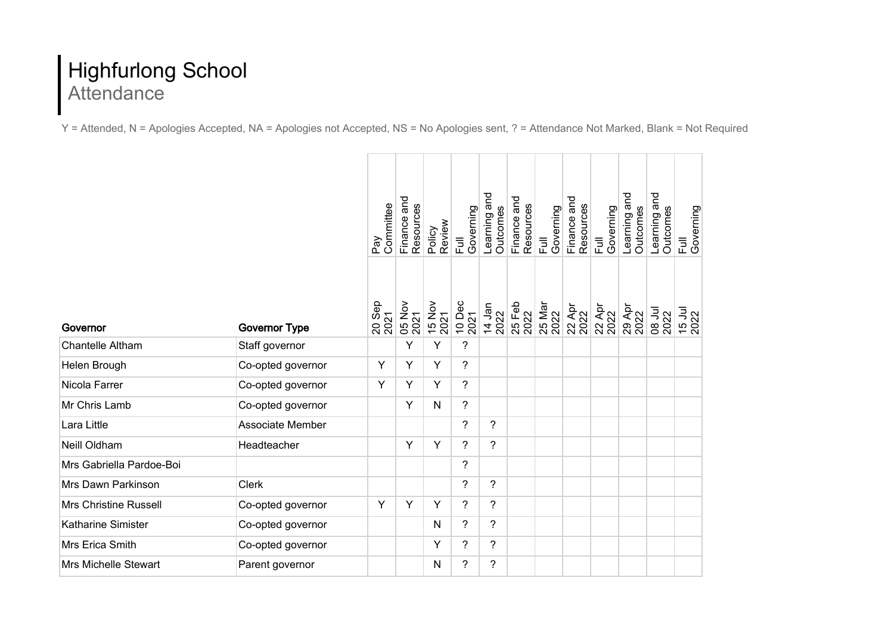## Highfurlong School Attendance

Y = Attended, N = Apologies Accepted, NA = Apologies not Accepted, NS = No Apologies sent, ? = Attendance Not Marked, Blank = Not Required

|                              |                         | Committee<br>Pay | Finance and<br>Resources | Review<br>Policy | Governing<br>$\bar{a}$ | Learning and<br>Outcomes | Finance and<br>Resources | Governing<br>$\overline{E}$ | Finance and<br>Resources | Governing<br>$\overline{a}$           | Learning and<br>Outcomes | and<br>Outcomes<br>Learning | Governing<br>$\overline{E}$ |
|------------------------------|-------------------------|------------------|--------------------------|------------------|------------------------|--------------------------|--------------------------|-----------------------------|--------------------------|---------------------------------------|--------------------------|-----------------------------|-----------------------------|
| Governor                     | <b>Governor Type</b>    | 20 Sep<br>2021   | <b>05 Nov</b><br>2021    | 15 Nov<br>2021   | 10 Dec<br>2021         | 14 Jan<br>2022           | 25 Feb<br>2022           | 25 Mar<br>2022              |                          | ಗ್ಗಿಗ<br>2022<br>2022<br>2022<br>2022 |                          | <b>D8</b> Jul<br>2022       | 15 Jul                      |
| Chantelle Altham             | Staff governor          |                  | Υ                        | Υ                | $\tilde{?}$            |                          |                          |                             |                          |                                       |                          |                             |                             |
| Helen Brough                 | Co-opted governor       | Y                | Y                        | Y                | ?                      |                          |                          |                             |                          |                                       |                          |                             |                             |
| Nicola Farrer                | Co-opted governor       | Y                | Y                        | Y                | $\tilde{?}$            |                          |                          |                             |                          |                                       |                          |                             |                             |
| Mr Chris Lamb                | Co-opted governor       |                  | Y                        | N                | $\overline{?}$         |                          |                          |                             |                          |                                       |                          |                             |                             |
| Lara Little                  | <b>Associate Member</b> |                  |                          |                  | $\tilde{?}$            | $\tilde{?}$              |                          |                             |                          |                                       |                          |                             |                             |
| Neill Oldham                 | Headteacher             |                  | Y                        | Y                | $\overline{?}$         | $\overline{\phantom{a}}$ |                          |                             |                          |                                       |                          |                             |                             |
| Mrs Gabriella Pardoe-Boi     |                         |                  |                          |                  | ?                      |                          |                          |                             |                          |                                       |                          |                             |                             |
| Mrs Dawn Parkinson           | <b>Clerk</b>            |                  |                          |                  | $\overline{?}$         | $\overline{?}$           |                          |                             |                          |                                       |                          |                             |                             |
| <b>Mrs Christine Russell</b> | Co-opted governor       | Y                | Y                        | Y                | $\tilde{?}$            | ?                        |                          |                             |                          |                                       |                          |                             |                             |
| Katharine Simister           | Co-opted governor       |                  |                          | N                | $\tilde{?}$            | $\tilde{?}$              |                          |                             |                          |                                       |                          |                             |                             |
| Mrs Erica Smith              | Co-opted governor       |                  |                          | Y                | $\overline{?}$         | $\overline{\phantom{a}}$ |                          |                             |                          |                                       |                          |                             |                             |
| <b>Mrs Michelle Stewart</b>  | Parent governor         |                  |                          | $\mathsf{N}$     | $\overline{?}$         | ?                        |                          |                             |                          |                                       |                          |                             |                             |